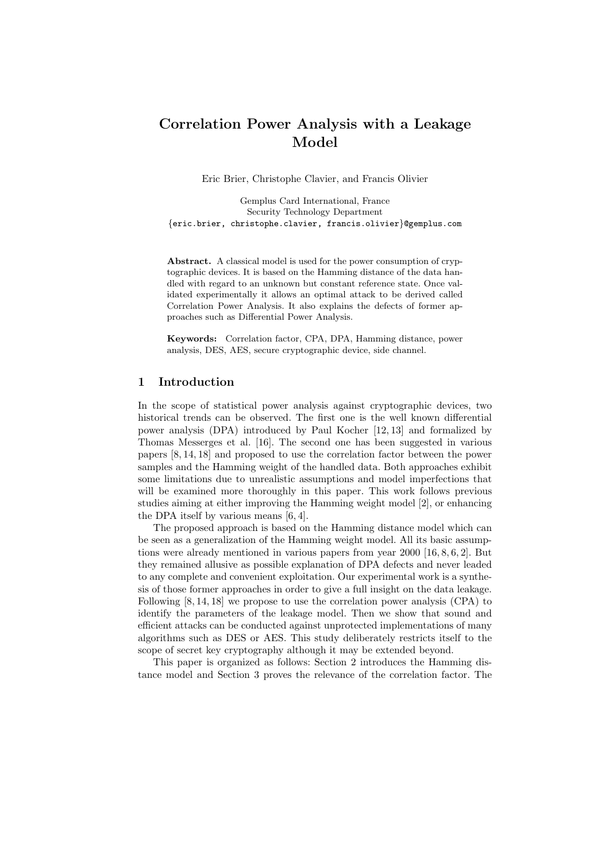# Correlation Power Analysis with a Leakage Model

Eric Brier, Christophe Clavier, and Francis Olivier

Gemplus Card International, France Security Technology Department {eric.brier, christophe.clavier, francis.olivier}@gemplus.com

Abstract. A classical model is used for the power consumption of cryptographic devices. It is based on the Hamming distance of the data handled with regard to an unknown but constant reference state. Once validated experimentally it allows an optimal attack to be derived called Correlation Power Analysis. It also explains the defects of former approaches such as Differential Power Analysis.

Keywords: Correlation factor, CPA, DPA, Hamming distance, power analysis, DES, AES, secure cryptographic device, side channel.

### 1 Introduction

In the scope of statistical power analysis against cryptographic devices, two historical trends can be observed. The first one is the well known differential power analysis (DPA) introduced by Paul Kocher [12, 13] and formalized by Thomas Messerges et al. [16]. The second one has been suggested in various papers [8, 14, 18] and proposed to use the correlation factor between the power samples and the Hamming weight of the handled data. Both approaches exhibit some limitations due to unrealistic assumptions and model imperfections that will be examined more thoroughly in this paper. This work follows previous studies aiming at either improving the Hamming weight model [2], or enhancing the DPA itself by various means [6, 4].

The proposed approach is based on the Hamming distance model which can be seen as a generalization of the Hamming weight model. All its basic assumptions were already mentioned in various papers from year 2000 [16, 8, 6, 2]. But they remained allusive as possible explanation of DPA defects and never leaded to any complete and convenient exploitation. Our experimental work is a synthesis of those former approaches in order to give a full insight on the data leakage. Following [8, 14, 18] we propose to use the correlation power analysis (CPA) to identify the parameters of the leakage model. Then we show that sound and efficient attacks can be conducted against unprotected implementations of many algorithms such as DES or AES. This study deliberately restricts itself to the scope of secret key cryptography although it may be extended beyond.

This paper is organized as follows: Section 2 introduces the Hamming distance model and Section 3 proves the relevance of the correlation factor. The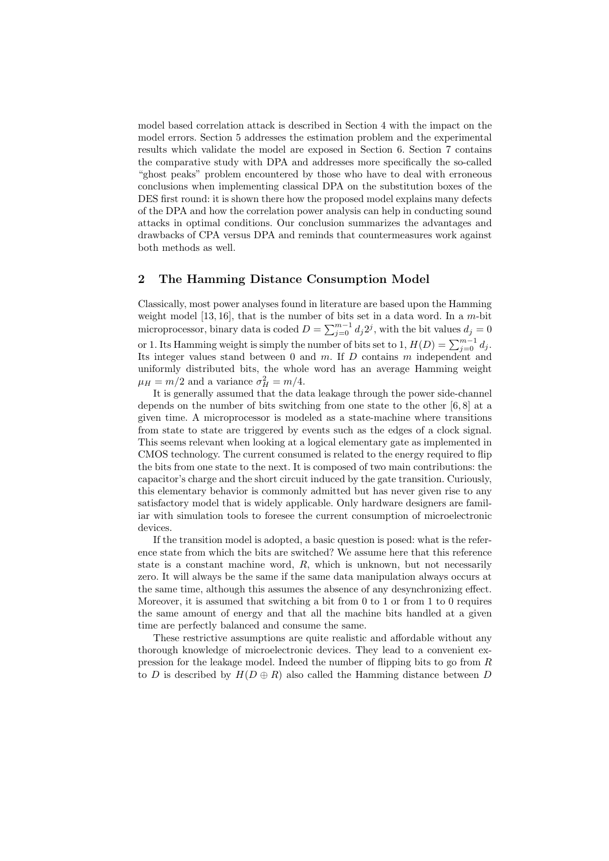model based correlation attack is described in Section 4 with the impact on the model errors. Section 5 addresses the estimation problem and the experimental results which validate the model are exposed in Section 6. Section 7 contains the comparative study with DPA and addresses more specifically the so-called "ghost peaks" problem encountered by those who have to deal with erroneous conclusions when implementing classical DPA on the substitution boxes of the DES first round: it is shown there how the proposed model explains many defects of the DPA and how the correlation power analysis can help in conducting sound attacks in optimal conditions. Our conclusion summarizes the advantages and drawbacks of CPA versus DPA and reminds that countermeasures work against both methods as well.

### 2 The Hamming Distance Consumption Model

Classically, most power analyses found in literature are based upon the Hamming weight model  $[13, 16]$ , that is the number of bits set in a data word. In a m-bit microprocessor, binary data is coded  $D = \sum_{j=0}^{m-1} d_j 2^j$ , with the bit values  $d_j = 0$ or 1. Its Hamming weight is simply the number of bits set to  $1, H(D) = \sum_{j=0}^{m-1} d_j$ . Its integer values stand between  $0$  and  $m$ . If  $D$  contains  $m$  independent and uniformly distributed bits, the whole word has an average Hamming weight  $\mu_H = m/2$  and a variance  $\sigma_H^2 = m/4$ .

It is generally assumed that the data leakage through the power side-channel depends on the number of bits switching from one state to the other  $[6, 8]$  at a given time. A microprocessor is modeled as a state-machine where transitions from state to state are triggered by events such as the edges of a clock signal. This seems relevant when looking at a logical elementary gate as implemented in CMOS technology. The current consumed is related to the energy required to flip the bits from one state to the next. It is composed of two main contributions: the capacitor's charge and the short circuit induced by the gate transition. Curiously, this elementary behavior is commonly admitted but has never given rise to any satisfactory model that is widely applicable. Only hardware designers are familiar with simulation tools to foresee the current consumption of microelectronic devices.

If the transition model is adopted, a basic question is posed: what is the reference state from which the bits are switched? We assume here that this reference state is a constant machine word,  $R$ , which is unknown, but not necessarily zero. It will always be the same if the same data manipulation always occurs at the same time, although this assumes the absence of any desynchronizing effect. Moreover, it is assumed that switching a bit from 0 to 1 or from 1 to 0 requires the same amount of energy and that all the machine bits handled at a given time are perfectly balanced and consume the same.

These restrictive assumptions are quite realistic and affordable without any thorough knowledge of microelectronic devices. They lead to a convenient expression for the leakage model. Indeed the number of flipping bits to go from R to D is described by  $H(D \oplus R)$  also called the Hamming distance between D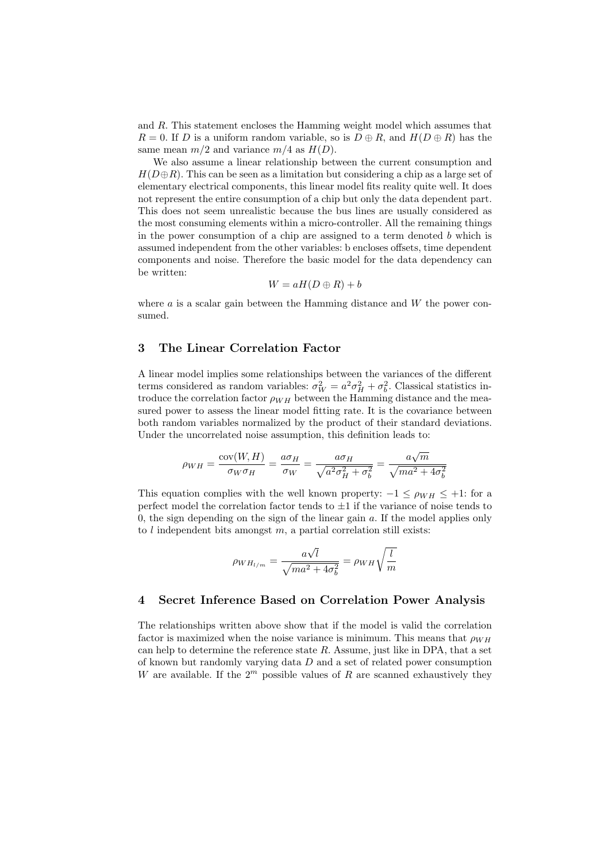and R. This statement encloses the Hamming weight model which assumes that  $R = 0$ . If D is a uniform random variable, so is  $D \oplus R$ , and  $H(D \oplus R)$  has the same mean  $m/2$  and variance  $m/4$  as  $H(D)$ .

We also assume a linear relationship between the current consumption and  $H(D \oplus R)$ . This can be seen as a limitation but considering a chip as a large set of elementary electrical components, this linear model fits reality quite well. It does not represent the entire consumption of a chip but only the data dependent part. This does not seem unrealistic because the bus lines are usually considered as the most consuming elements within a micro-controller. All the remaining things in the power consumption of a chip are assigned to a term denoted  $b$  which is assumed independent from the other variables: b encloses offsets, time dependent components and noise. Therefore the basic model for the data dependency can be written:

$$
W = aH(D \oplus R) + b
$$

where  $\alpha$  is a scalar gain between the Hamming distance and  $W$  the power consumed.

# 3 The Linear Correlation Factor

A linear model implies some relationships between the variances of the different terms considered as random variables:  $\sigma_W^2 = a^2 \sigma_H^2 + \sigma_b^2$ . Classical statistics introduce the correlation factor  $\rho_{WH}$  between the Hamming distance and the measured power to assess the linear model fitting rate. It is the covariance between both random variables normalized by the product of their standard deviations. Under the uncorrelated noise assumption, this definition leads to:

$$
\rho_{WH} = \frac{\text{cov}(W, H)}{\sigma_W \sigma_H} = \frac{a\sigma_H}{\sigma_W} = \frac{a\sigma_H}{\sqrt{a^2\sigma_H^2 + \sigma_b^2}} = \frac{a\sqrt{m}}{\sqrt{ma^2 + 4\sigma_b^2}}
$$

This equation complies with the well known property:  $-1 \le \rho_{WH} \le +1$ : for a perfect model the correlation factor tends to  $\pm 1$  if the variance of noise tends to 0, the sign depending on the sign of the linear gain  $a$ . If the model applies only to  $l$  independent bits amongst  $m$ , a partial correlation still exists:

$$
\rho_{WH_{l/m}} = \frac{a\sqrt{l}}{\sqrt{ma^2 + 4\sigma_b^2}} = \rho_{WH} \sqrt{\frac{l}{m}}
$$

# 4 Secret Inference Based on Correlation Power Analysis

The relationships written above show that if the model is valid the correlation factor is maximized when the noise variance is minimum. This means that  $\rho_{WH}$ can help to determine the reference state R. Assume, just like in DPA, that a set of known but randomly varying data  $D$  and a set of related power consumption W are available. If the  $2^m$  possible values of R are scanned exhaustively they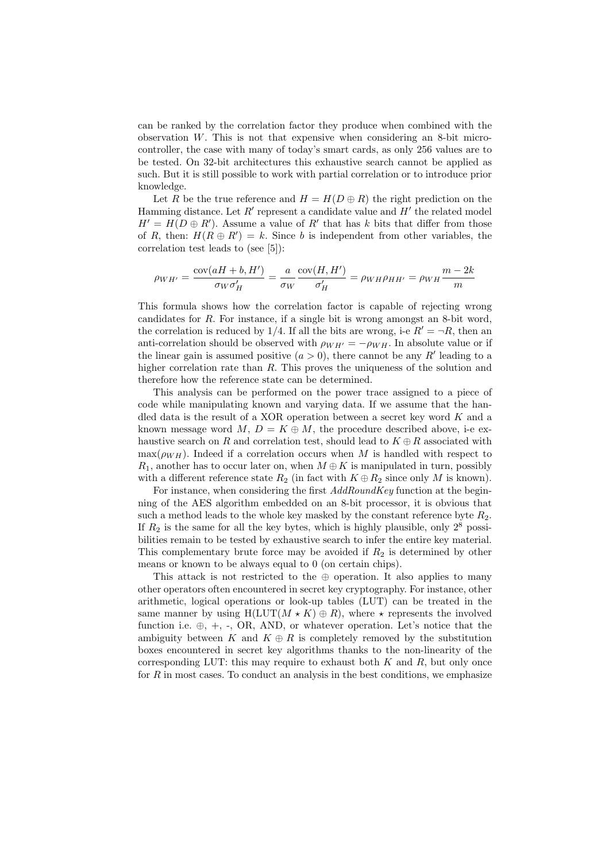can be ranked by the correlation factor they produce when combined with the observation W. This is not that expensive when considering an 8-bit microcontroller, the case with many of today's smart cards, as only 256 values are to be tested. On 32-bit architectures this exhaustive search cannot be applied as such. But it is still possible to work with partial correlation or to introduce prior knowledge.

Let R be the true reference and  $H = H(D \oplus R)$  the right prediction on the Hamming distance. Let  $R'$  represent a candidate value and  $H'$  the related model  $H' = H(D \oplus R')$ . Assume a value of R' that has k bits that differ from those of R, then:  $H(R \oplus R') = k$ . Since b is independent from other variables, the correlation test leads to (see [5]):

$$
\rho_{WH'} = \frac{\text{cov}(aH + b, H')}{\sigma_W \sigma'_H} = \frac{a}{\sigma_W} \frac{\text{cov}(H, H')}{\sigma'_H} = \rho_{WH} \rho_{HH'} = \rho_{WH} \frac{m - 2k}{m}
$$

This formula shows how the correlation factor is capable of rejecting wrong candidates for R. For instance, if a single bit is wrong amongst an 8-bit word, the correlation is reduced by 1/4. If all the bits are wrong, i-e  $R' = \neg R$ , then an anti-correlation should be observed with  $\rho_{WH'} = -\rho_{WH}$ . In absolute value or if the linear gain is assumed positive  $(a > 0)$ , there cannot be any R' leading to a higher correlation rate than R. This proves the uniqueness of the solution and therefore how the reference state can be determined.

This analysis can be performed on the power trace assigned to a piece of code while manipulating known and varying data. If we assume that the handled data is the result of a XOR operation between a secret key word  $K$  and a known message word  $M, D = K \oplus M$ , the procedure described above, i-e exhaustive search on R and correlation test, should lead to  $K \oplus R$  associated with  $\max(\rho_{WH})$ . Indeed if a correlation occurs when M is handled with respect to  $R_1$ , another has to occur later on, when  $M \oplus K$  is manipulated in turn, possibly with a different reference state  $R_2$  (in fact with  $K \oplus R_2$  since only M is known).

For instance, when considering the first  $AddRoundKey$  function at the beginning of the AES algorithm embedded on an 8-bit processor, it is obvious that such a method leads to the whole key masked by the constant reference byte  $R_2$ . If  $R_2$  is the same for all the key bytes, which is highly plausible, only  $2^8$  possibilities remain to be tested by exhaustive search to infer the entire key material. This complementary brute force may be avoided if  $R_2$  is determined by other means or known to be always equal to 0 (on certain chips).

This attack is not restricted to the  $\oplus$  operation. It also applies to many other operators often encountered in secret key cryptography. For instance, other arithmetic, logical operations or look-up tables (LUT) can be treated in the same manner by using  $H(LUT(M * K) \oplus R)$ , where  $*$  represents the involved function i.e.  $\oplus$ ,  $+$ ,  $-$ , OR, AND, or whatever operation. Let's notice that the ambiguity between  $K$  and  $K \oplus R$  is completely removed by the substitution boxes encountered in secret key algorithms thanks to the non-linearity of the corresponding LUT: this may require to exhaust both  $K$  and  $R$ , but only once for  $R$  in most cases. To conduct an analysis in the best conditions, we emphasize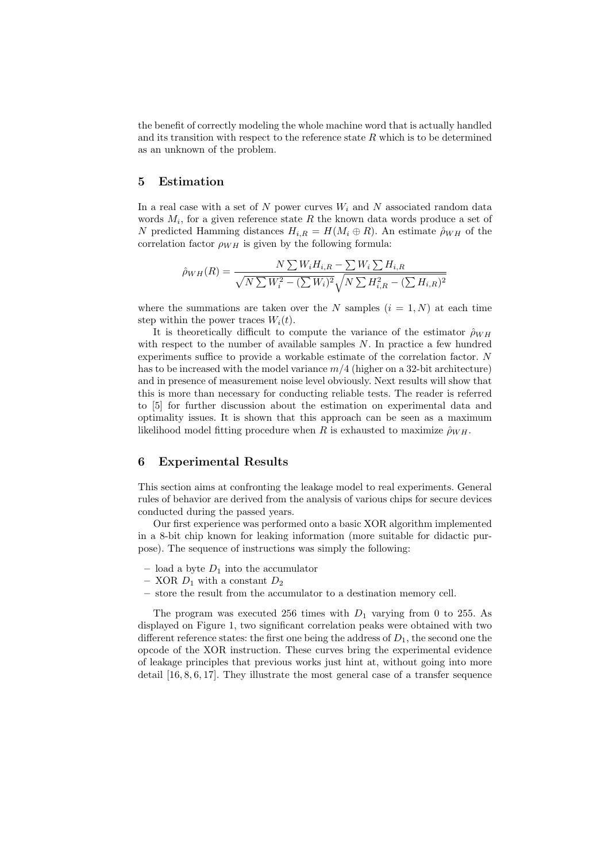the benefit of correctly modeling the whole machine word that is actually handled and its transition with respect to the reference state  $R$  which is to be determined as an unknown of the problem.

# 5 Estimation

In a real case with a set of  $N$  power curves  $W_i$  and  $N$  associated random data words  $M_i$ , for a given reference state R the known data words produce a set of N predicted Hamming distances  $H_{i,R} = H(M_i \oplus R)$ . An estimate  $\hat{\rho}_{WH}$  of the correlation factor  $\rho_{WH}$  is given by the following formula:

$$
\hat{\rho}_{WH}(R) = \frac{N \sum W_i H_{i,R} - \sum W_i \sum H_{i,R}}{\sqrt{N \sum W_i^2 - (\sum W_i)^2} \sqrt{N \sum H_{i,R}^2 - (\sum H_{i,R})^2}}
$$

where the summations are taken over the N samples  $(i = 1, N)$  at each time step within the power traces  $W_i(t)$ .

It is theoretically difficult to compute the variance of the estimator  $\hat{\rho}_{WH}$ with respect to the number of available samples  $N$ . In practice a few hundred experiments suffice to provide a workable estimate of the correlation factor. N has to be increased with the model variance  $m/4$  (higher on a 32-bit architecture) and in presence of measurement noise level obviously. Next results will show that this is more than necessary for conducting reliable tests. The reader is referred to [5] for further discussion about the estimation on experimental data and optimality issues. It is shown that this approach can be seen as a maximum likelihood model fitting procedure when R is exhausted to maximize  $\hat{\rho}_{WH}$ .

# 6 Experimental Results

This section aims at confronting the leakage model to real experiments. General rules of behavior are derived from the analysis of various chips for secure devices conducted during the passed years.

Our first experience was performed onto a basic XOR algorithm implemented in a 8-bit chip known for leaking information (more suitable for didactic purpose). The sequence of instructions was simply the following:

- load a byte  $D_1$  into the accumulator
- XOR  $D_1$  with a constant  $D_2$
- store the result from the accumulator to a destination memory cell.

The program was executed 256 times with  $D_1$  varying from 0 to 255. As displayed on Figure 1, two significant correlation peaks were obtained with two different reference states: the first one being the address of  $D_1$ , the second one the opcode of the XOR instruction. These curves bring the experimental evidence of leakage principles that previous works just hint at, without going into more detail  $[16, 8, 6, 17]$ . They illustrate the most general case of a transfer sequence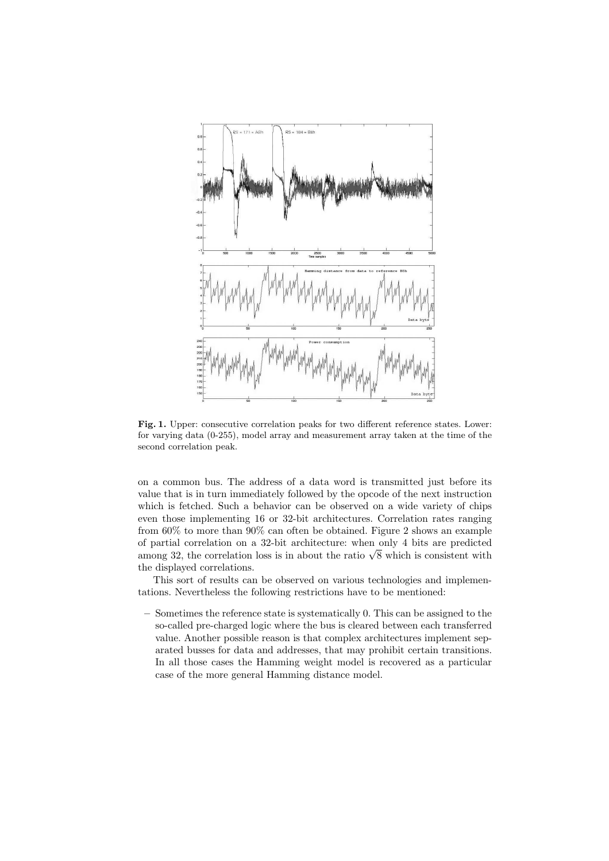

Fig. 1. Upper: consecutive correlation peaks for two different reference states. Lower: for varying data (0-255), model array and measurement array taken at the time of the second correlation peak.

on a common bus. The address of a data word is transmitted just before its value that is in turn immediately followed by the opcode of the next instruction which is fetched. Such a behavior can be observed on a wide variety of chips even those implementing 16 or 32-bit architectures. Correlation rates ranging from 60% to more than 90% can often be obtained. Figure 2 shows an example of partial correlation on a 32-bit architecture: when only 4 bits are predicted among 32, the correlation loss is in about the ratio  $\sqrt{8}$  which is consistent with the displayed correlations.

This sort of results can be observed on various technologies and implementations. Nevertheless the following restrictions have to be mentioned:

– Sometimes the reference state is systematically 0. This can be assigned to the so-called pre-charged logic where the bus is cleared between each transferred value. Another possible reason is that complex architectures implement separated busses for data and addresses, that may prohibit certain transitions. In all those cases the Hamming weight model is recovered as a particular case of the more general Hamming distance model.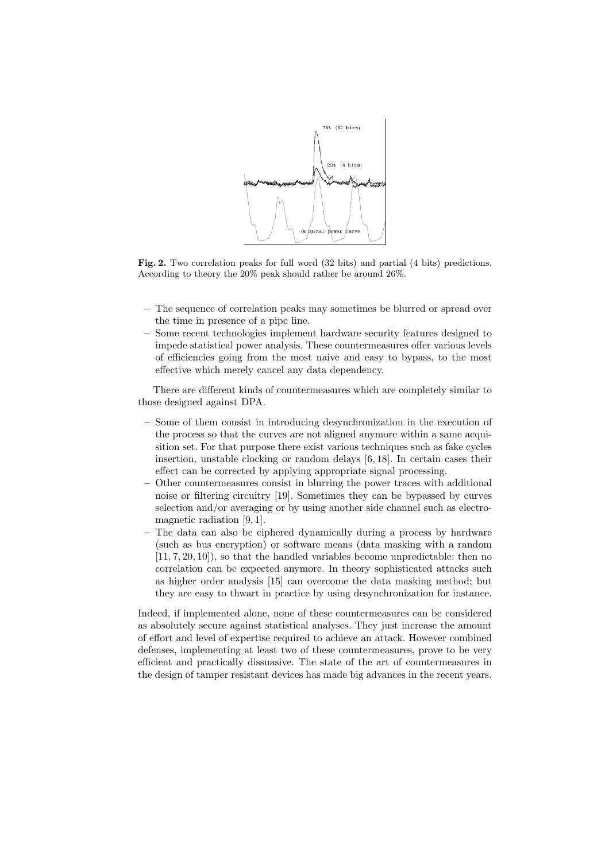

Fig. 2. Two correlation peaks for full word (32 bits) and partial (4 bits) predictions. According to theory the 20% peak should rather be around 26%.

- The sequence of correlation peaks may sometimes be blurred or spread over the time in presence of a pipe line.
- Some recent technologies implement hardware security features designed to impede statistical power analysis. These countermeasures offer various levels of efficiencies going from the most naive and easy to bypass, to the most effective which merely cancel any data dependency.

There are different kinds of countermeasures which are completely similar to those designed against DPA.

- Some of them consist in introducing desynchronization in the execution of the process so that the curves are not aligned anymore within a same acquisition set. For that purpose there exist various techniques such as fake cycles insertion, unstable clocking or random delays [6, 18]. In certain cases their effect can be corrected by applying appropriate signal processing.
- Other countermeasures consist in blurring the power traces with additional noise or filtering circuitry [19]. Sometimes they can be bypassed by curves selection and/or averaging or by using another side channel such as electromagnetic radiation [9, 1].
- The data can also be ciphered dynamically during a process by hardware (such as bus encryption) or software means (data masking with a random [11, 7, 20, 10]), so that the handled variables become unpredictable: then no correlation can be expected anymore. In theory sophisticated attacks such as higher order analysis [15] can overcome the data masking method; but they are easy to thwart in practice by using desynchronization for instance.

Indeed, if implemented alone, none of these countermeasures can be considered as absolutely secure against statistical analyses. They just increase the amount of effort and level of expertise required to achieve an attack. However combined defenses, implementing at least two of these countermeasures, prove to be very efficient and practically dissuasive. The state of the art of countermeasures in the design of tamper resistant devices has made big advances in the recent years.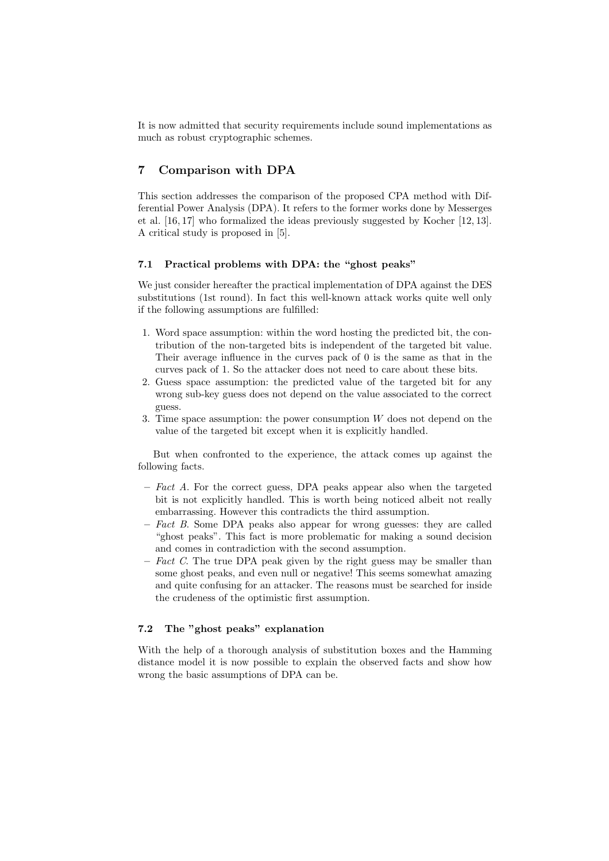It is now admitted that security requirements include sound implementations as much as robust cryptographic schemes.

# 7 Comparison with DPA

This section addresses the comparison of the proposed CPA method with Differential Power Analysis (DPA). It refers to the former works done by Messerges et al. [16, 17] who formalized the ideas previously suggested by Kocher [12, 13]. A critical study is proposed in [5].

# 7.1 Practical problems with DPA: the "ghost peaks"

We just consider hereafter the practical implementation of DPA against the DES substitutions (1st round). In fact this well-known attack works quite well only if the following assumptions are fulfilled:

- 1. Word space assumption: within the word hosting the predicted bit, the contribution of the non-targeted bits is independent of the targeted bit value. Their average influence in the curves pack of 0 is the same as that in the curves pack of 1. So the attacker does not need to care about these bits.
- 2. Guess space assumption: the predicted value of the targeted bit for any wrong sub-key guess does not depend on the value associated to the correct guess.
- 3. Time space assumption: the power consumption  $W$  does not depend on the value of the targeted bit except when it is explicitly handled.

But when confronted to the experience, the attack comes up against the following facts.

- $-$  Fact A. For the correct guess, DPA peaks appear also when the targeted bit is not explicitly handled. This is worth being noticed albeit not really embarrassing. However this contradicts the third assumption.
- Fact B. Some DPA peaks also appear for wrong guesses: they are called "ghost peaks". This fact is more problematic for making a sound decision and comes in contradiction with the second assumption.
- $-$  Fact C. The true DPA peak given by the right guess may be smaller than some ghost peaks, and even null or negative! This seems somewhat amazing and quite confusing for an attacker. The reasons must be searched for inside the crudeness of the optimistic first assumption.

#### 7.2 The "ghost peaks" explanation

With the help of a thorough analysis of substitution boxes and the Hamming distance model it is now possible to explain the observed facts and show how wrong the basic assumptions of DPA can be.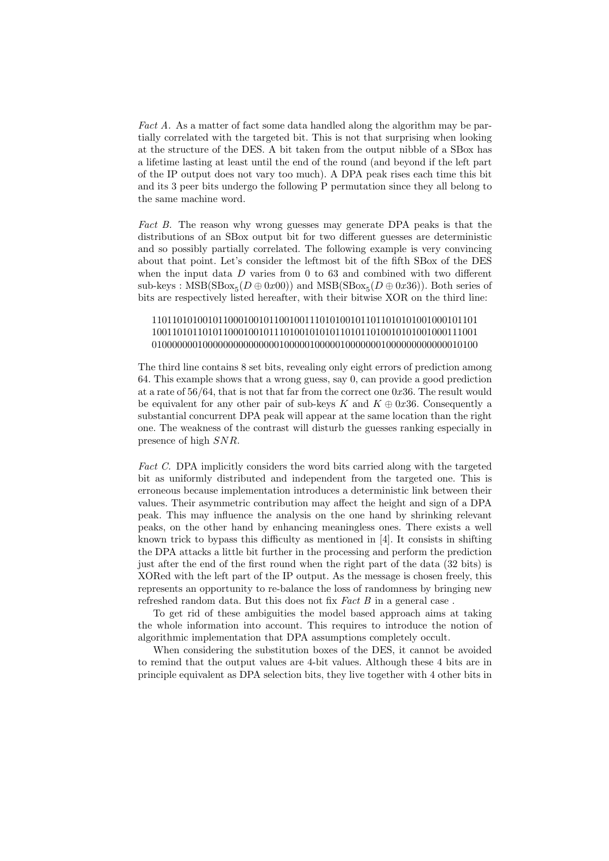Fact A. As a matter of fact some data handled along the algorithm may be partially correlated with the targeted bit. This is not that surprising when looking at the structure of the DES. A bit taken from the output nibble of a SBox has a lifetime lasting at least until the end of the round (and beyond if the left part of the IP output does not vary too much). A DPA peak rises each time this bit and its 3 peer bits undergo the following P permutation since they all belong to the same machine word.

Fact B. The reason why wrong guesses may generate DPA peaks is that the distributions of an SBox output bit for two different guesses are deterministic and so possibly partially correlated. The following example is very convincing about that point. Let's consider the leftmost bit of the fifth SBox of the DES when the input data  $D$  varies from 0 to 63 and combined with two different sub-keys :  $MSB(SBox_5(D \oplus 0x00))$  and  $MSB(SBox_5(D \oplus 0x36))$ . Both series of bits are respectively listed hereafter, with their bitwise XOR on the third line:

# 1101101010010110001001011001001110101001011011010101001000101101 1001101011010110001001011101001010101101011010010101001000111001 0100000001000000000000000100000100000100000001000000000000010100

The third line contains 8 set bits, revealing only eight errors of prediction among 64. This example shows that a wrong guess, say 0, can provide a good prediction at a rate of  $56/64$ , that is not that far from the correct one  $0x36$ . The result would be equivalent for any other pair of sub-keys K and  $K \oplus 0x36$ . Consequently a substantial concurrent DPA peak will appear at the same location than the right one. The weakness of the contrast will disturb the guesses ranking especially in presence of high SNR.

Fact C. DPA implicitly considers the word bits carried along with the targeted bit as uniformly distributed and independent from the targeted one. This is erroneous because implementation introduces a deterministic link between their values. Their asymmetric contribution may affect the height and sign of a DPA peak. This may influence the analysis on the one hand by shrinking relevant peaks, on the other hand by enhancing meaningless ones. There exists a well known trick to bypass this difficulty as mentioned in [4]. It consists in shifting the DPA attacks a little bit further in the processing and perform the prediction just after the end of the first round when the right part of the data (32 bits) is XORed with the left part of the IP output. As the message is chosen freely, this represents an opportunity to re-balance the loss of randomness by bringing new refreshed random data. But this does not fix Fact B in a general case .

To get rid of these ambiguities the model based approach aims at taking the whole information into account. This requires to introduce the notion of algorithmic implementation that DPA assumptions completely occult.

When considering the substitution boxes of the DES, it cannot be avoided to remind that the output values are 4-bit values. Although these 4 bits are in principle equivalent as DPA selection bits, they live together with 4 other bits in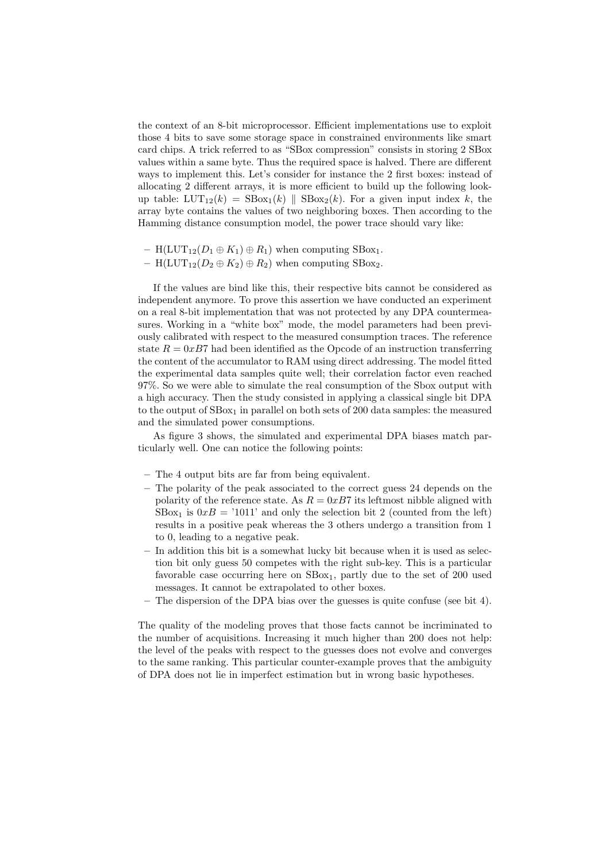the context of an 8-bit microprocessor. Efficient implementations use to exploit those 4 bits to save some storage space in constrained environments like smart card chips. A trick referred to as "SBox compression" consists in storing 2 SBox values within a same byte. Thus the required space is halved. There are different ways to implement this. Let's consider for instance the 2 first boxes: instead of allocating 2 different arrays, it is more efficient to build up the following lookup table:  $LUT_{12}(k) = SBox_1(k)$  SBox<sub>2</sub>(k). For a given input index k, the array byte contains the values of two neighboring boxes. Then according to the Hamming distance consumption model, the power trace should vary like:

- H(LUT<sub>12</sub>( $D_1 \oplus K_1$ ) when computing SBox<sub>1</sub>.
- H(LUT<sub>12</sub>( $D_2 \oplus K_2$ ) when computing SBox<sub>2</sub>.

If the values are bind like this, their respective bits cannot be considered as independent anymore. To prove this assertion we have conducted an experiment on a real 8-bit implementation that was not protected by any DPA countermeasures. Working in a "white box" mode, the model parameters had been previously calibrated with respect to the measured consumption traces. The reference state  $R = 0xB7$  had been identified as the Opcode of an instruction transferring the content of the accumulator to RAM using direct addressing. The model fitted the experimental data samples quite well; their correlation factor even reached 97%. So we were able to simulate the real consumption of the Sbox output with a high accuracy. Then the study consisted in applying a classical single bit DPA to the output of  $SBox<sub>1</sub>$  in parallel on both sets of 200 data samples: the measured and the simulated power consumptions.

As figure 3 shows, the simulated and experimental DPA biases match particularly well. One can notice the following points:

- The 4 output bits are far from being equivalent.
- The polarity of the peak associated to the correct guess 24 depends on the polarity of the reference state. As  $R = 0xB7$  its leftmost nibble aligned with  $SBox<sub>1</sub>$  is  $0xB = '1011'$  and only the selection bit 2 (counted from the left) results in a positive peak whereas the 3 others undergo a transition from 1 to 0, leading to a negative peak.
- In addition this bit is a somewhat lucky bit because when it is used as selection bit only guess 50 competes with the right sub-key. This is a particular favorable case occurring here on  $SBox<sub>1</sub>$ , partly due to the set of 200 used messages. It cannot be extrapolated to other boxes.
- The dispersion of the DPA bias over the guesses is quite confuse (see bit 4).

The quality of the modeling proves that those facts cannot be incriminated to the number of acquisitions. Increasing it much higher than 200 does not help: the level of the peaks with respect to the guesses does not evolve and converges to the same ranking. This particular counter-example proves that the ambiguity of DPA does not lie in imperfect estimation but in wrong basic hypotheses.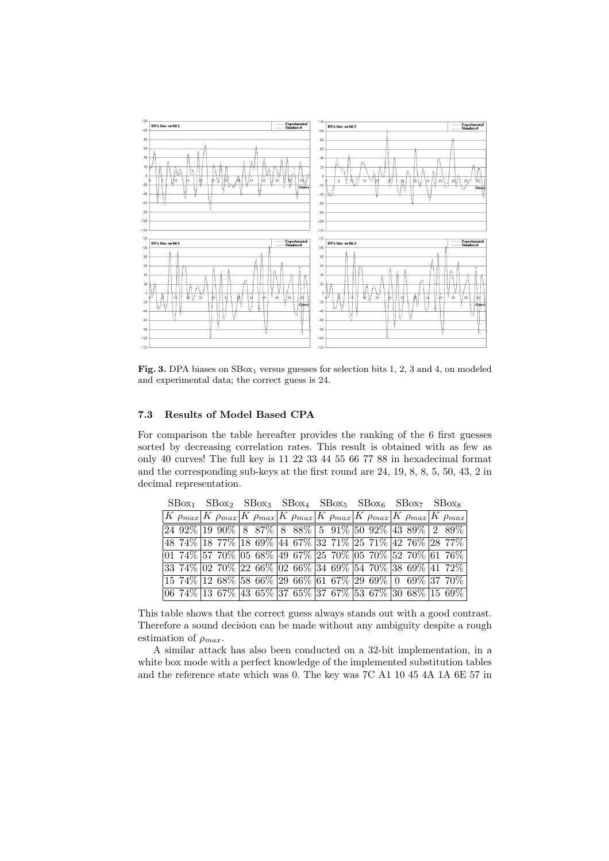

Fig. 3. DPA biases on  $SBox<sub>1</sub>$  versus guesses for selection bits 1, 2, 3 and 4, on modeled and experimental data; the correct guess is 24.

# 7.3 Results of Model Based CPA

For comparison the table hereafter provides the ranking of the 6 first guesses sorted by decreasing correlation rates. This result is obtained with as few as only 40 curves! The full key is 11 22 33 44 55 66 77 88 in hexadecimal format and the corresponding sub-keys at the first round are 24, 19, 8, 8, 5, 50, 43, 2 in decimal representation.

|  |  |  |  |  |  |  |                                                                                                                                                                                                                                                                                                                                                                                                                                               |  |  |  |  | $SBox_1$ $SBox_2$ $SBox_3$ $SBox_4$ $SBox_5$ $SBox_6$ $SBox_7$ $SBox_8$ |  |  |  |
|--|--|--|--|--|--|--|-----------------------------------------------------------------------------------------------------------------------------------------------------------------------------------------------------------------------------------------------------------------------------------------------------------------------------------------------------------------------------------------------------------------------------------------------|--|--|--|--|-------------------------------------------------------------------------|--|--|--|
|  |  |  |  |  |  |  | $ K\rho_{max} K\rho_{max} K\rho_{max} K\rho_{max} K\rho_{max} K\rho_{max} K\rho_{max} K\rho_{max} $                                                                                                                                                                                                                                                                                                                                           |  |  |  |  |                                                                         |  |  |  |
|  |  |  |  |  |  |  | $\left[24\right.92\%$ $\left 19\right.90\%$ $\left 8\right.87\%$ $\left 8\right.88\%$ $\left 5\right.91\%$ $\left 50\right.92\%$ $\left 43\right.89\%$ $\left 2\right.89\%$                                                                                                                                                                                                                                                                   |  |  |  |  |                                                                         |  |  |  |
|  |  |  |  |  |  |  | 48 74% 18 77% 18 69% 44 67% 32 71% 25 71% 42 76% 28 77%                                                                                                                                                                                                                                                                                                                                                                                       |  |  |  |  |                                                                         |  |  |  |
|  |  |  |  |  |  |  | $\frac{1}{101}$ 74% 57 70% 05 68% 49 67% 25 70% 05 70% 52 70% 61 76%                                                                                                                                                                                                                                                                                                                                                                          |  |  |  |  |                                                                         |  |  |  |
|  |  |  |  |  |  |  | $\left 33\right\rangle 74\% \left 02\right\rangle 70\% \left 22\right\rangle 66\% \left 02\right\rangle 66\% \left 34\right\rangle 69\% \left 54\right\rangle 70\% \left 38\right\rangle 69\% \left 41\right\rangle 72\% \left 02\right\rangle 66\% \left 02\right\rangle 66\% \left 02\right\rangle 66\% \left 34\right\rangle 69\% \left 54\right\rangle 70\% \left 38\right\rangle 69\% \left 41\right\rangle 72\% \left 02\right\rangle $ |  |  |  |  |                                                                         |  |  |  |
|  |  |  |  |  |  |  | $\left 15\right\rangle 74\% \left 12\right\rangle 68\% \left 58\right\rangle 66\% \left 29\right\rangle 66\% \left 61\right\rangle 67\% \left 29\right\rangle 69\% \left 0\right\rangle 69\% \left 37\right\rangle 70\% \left 0\right\rangle$                                                                                                                                                                                                 |  |  |  |  |                                                                         |  |  |  |
|  |  |  |  |  |  |  | $\boxed{06\ 74\% \boxed{13\ 67\% \boxed{43\ 65\% \boxed{37\ 65\% \boxed{37\ 67\% \boxed{53\ 67\% \boxed{30\ 68\% \boxed{15\ 69\%}}}}}$                                                                                                                                                                                                                                                                                                        |  |  |  |  |                                                                         |  |  |  |

This table shows that the correct guess always stands out with a good contrast. Therefore a sound decision can be made without any ambiguity despite a rough estimation of  $\rho_{max}$ .

A similar attack has also been conducted on a 32-bit implementation, in a white box mode with a perfect knowledge of the implemented substitution tables and the reference state which was 0. The key was 7C A1 10 45 4A 1A 6E 57 in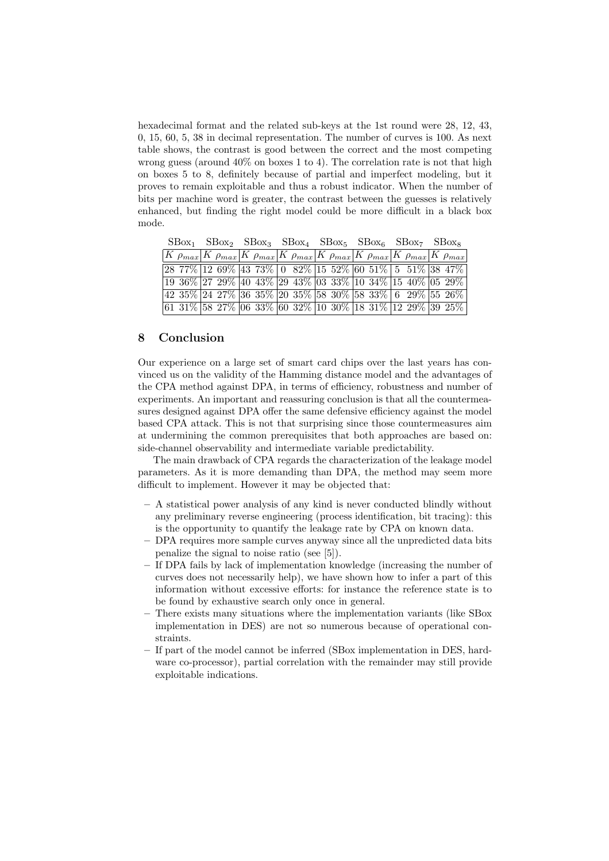hexadecimal format and the related sub-keys at the 1st round were 28, 12, 43, 0, 15, 60, 5, 38 in decimal representation. The number of curves is 100. As next table shows, the contrast is good between the correct and the most competing wrong guess (around 40% on boxes 1 to 4). The correlation rate is not that high on boxes 5 to 8, definitely because of partial and imperfect modeling, but it proves to remain exploitable and thus a robust indicator. When the number of bits per machine word is greater, the contrast between the guesses is relatively enhanced, but finding the right model could be more difficult in a black box mode.

|  |  | $SBox_1$ $SBox_2$ $SBox_3$ $SBox_4$ $SBox_5$ $SBox_6$ $SBox_7$ $SBox_8$ |  |  |                                                                                                                                                    |  |  |  |  |  |  |  |  |  |  |
|--|--|-------------------------------------------------------------------------|--|--|----------------------------------------------------------------------------------------------------------------------------------------------------|--|--|--|--|--|--|--|--|--|--|
|  |  |                                                                         |  |  | $ K\rho_{max} K\rho_{max} K\rho_{max} K\rho_{max} K\rho_{max} K\rho_{max} K\rho_{max} K\rho_{max} $                                                |  |  |  |  |  |  |  |  |  |  |
|  |  |                                                                         |  |  | $\left  28\;77\% \left  12\;69\% \left  43\;73\% \right  0\;82\% \left  15\;52\% \right  60\;51\% \left  5\;51\% \right  38\;47\% \right  \right $ |  |  |  |  |  |  |  |  |  |  |
|  |  |                                                                         |  |  | $\frac{1936\%}{2729\%}\$ 40 43\% $\frac{2943\%}{2933\%}\$ 03 33\% $\frac{1034\%}{1540\%}\$ 15 40\% $\frac{10529\%}{29\%}\$                         |  |  |  |  |  |  |  |  |  |  |
|  |  |                                                                         |  |  | $\frac{1}{2}$ 35% 24 27% 36 35% 20 35% 58 30% 58 33% 6 29% 55 26%                                                                                  |  |  |  |  |  |  |  |  |  |  |
|  |  |                                                                         |  |  | $\boxed{61\ 31\%}\ 58\ 27\%}\ 06\ 33\%}\ 60\ 32\%}\ 10\ 30\%}\ 18\ 31\%}\ 12\ 29\%}\ 39\ 25\%$                                                     |  |  |  |  |  |  |  |  |  |  |

# 8 Conclusion

Our experience on a large set of smart card chips over the last years has convinced us on the validity of the Hamming distance model and the advantages of the CPA method against DPA, in terms of efficiency, robustness and number of experiments. An important and reassuring conclusion is that all the countermeasures designed against DPA offer the same defensive efficiency against the model based CPA attack. This is not that surprising since those countermeasures aim at undermining the common prerequisites that both approaches are based on: side-channel observability and intermediate variable predictability.

The main drawback of CPA regards the characterization of the leakage model parameters. As it is more demanding than DPA, the method may seem more difficult to implement. However it may be objected that:

- A statistical power analysis of any kind is never conducted blindly without any preliminary reverse engineering (process identification, bit tracing): this is the opportunity to quantify the leakage rate by CPA on known data.
- DPA requires more sample curves anyway since all the unpredicted data bits penalize the signal to noise ratio (see [5]).
- If DPA fails by lack of implementation knowledge (increasing the number of curves does not necessarily help), we have shown how to infer a part of this information without excessive efforts: for instance the reference state is to be found by exhaustive search only once in general.
- There exists many situations where the implementation variants (like SBox implementation in DES) are not so numerous because of operational constraints.
- If part of the model cannot be inferred (SBox implementation in DES, hardware co-processor), partial correlation with the remainder may still provide exploitable indications.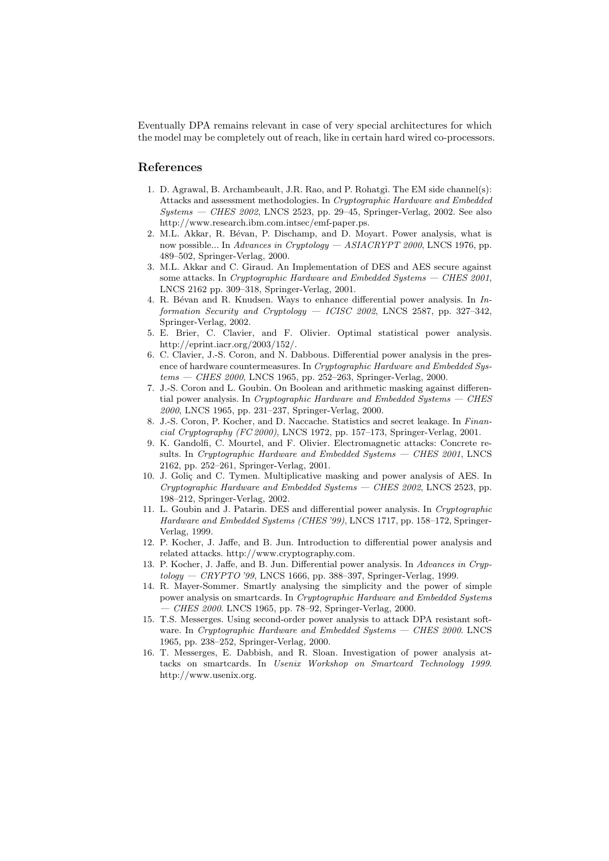Eventually DPA remains relevant in case of very special architectures for which the model may be completely out of reach, like in certain hard wired co-processors.

### References

- 1. D. Agrawal, B. Archambeault, J.R. Rao, and P. Rohatgi. The EM side channel(s): Attacks and assessment methodologies. In Cryptographic Hardware and Embedded  $Systems - CHES 2002$ , LNCS 2523, pp. 29–45, Springer-Verlag, 2002. See also http://www.research.ibm.com.intsec/emf-paper.ps.
- 2. M.L. Akkar, R. Bévan, P. Dischamp, and D. Moyart. Power analysis, what is now possible... In Advances in Cryptology — ASIACRYPT 2000, LNCS 1976, pp. 489–502, Springer-Verlag, 2000.
- 3. M.L. Akkar and C. Giraud. An Implementation of DES and AES secure against some attacks. In Cryptographic Hardware and Embedded Systems — CHES 2001, LNCS 2162 pp. 309–318, Springer-Verlag, 2001.
- 4. R. Bévan and R. Knudsen. Ways to enhance differential power analysis. In  $In$ formation Security and Cryptology  $-$  ICISC 2002, LNCS 2587, pp. 327-342, Springer-Verlag, 2002.
- 5. E. Brier, C. Clavier, and F. Olivier. Optimal statistical power analysis. http://eprint.iacr.org/2003/152/.
- 6. C. Clavier, J.-S. Coron, and N. Dabbous. Differential power analysis in the presence of hardware countermeasures. In Cryptographic Hardware and Embedded Systems — CHES 2000, LNCS 1965, pp. 252–263, Springer-Verlag, 2000.
- 7. J.-S. Coron and L. Goubin. On Boolean and arithmetic masking against differential power analysis. In Cryptographic Hardware and Embedded Systems  $-$  CHES 2000, LNCS 1965, pp. 231–237, Springer-Verlag, 2000.
- 8. J.-S. Coron, P. Kocher, and D. Naccache. Statistics and secret leakage. In Financial Cryptography (FC 2000), LNCS 1972, pp. 157–173, Springer-Verlag, 2001.
- 9. K. Gandolfi, C. Mourtel, and F. Olivier. Electromagnetic attacks: Concrete results. In Cryptographic Hardware and Embedded Systems - CHES 2001, LNCS 2162, pp. 252–261, Springer-Verlag, 2001.
- 10. J. Goliç and C. Tymen. Multiplicative masking and power analysis of AES. In  $Crypto graphic Hadware and Embedded Systems - CHES 2002$ , LNCS 2523, pp. 198–212, Springer-Verlag, 2002.
- 11. L. Goubin and J. Patarin. DES and differential power analysis. In Cryptographic Hardware and Embedded Systems (CHES '99), LNCS 1717, pp. 158–172, Springer-Verlag, 1999.
- 12. P. Kocher, J. Jaffe, and B. Jun. Introduction to differential power analysis and related attacks. http://www.cryptography.com.
- 13. P. Kocher, J. Jaffe, and B. Jun. Differential power analysis. In Advances in Cryptology — CRYPTO '99, LNCS 1666, pp. 388–397, Springer-Verlag, 1999.
- 14. R. Mayer-Sommer. Smartly analysing the simplicity and the power of simple power analysis on smartcards. In Cryptographic Hardware and Embedded Systems — CHES 2000. LNCS 1965, pp. 78–92, Springer-Verlag, 2000.
- 15. T.S. Messerges. Using second-order power analysis to attack DPA resistant software. In Cryptographic Hardware and Embedded Systems — CHES 2000. LNCS 1965, pp. 238–252, Springer-Verlag, 2000.
- 16. T. Messerges, E. Dabbish, and R. Sloan. Investigation of power analysis attacks on smartcards. In Usenix Workshop on Smartcard Technology 1999. http://www.usenix.org.